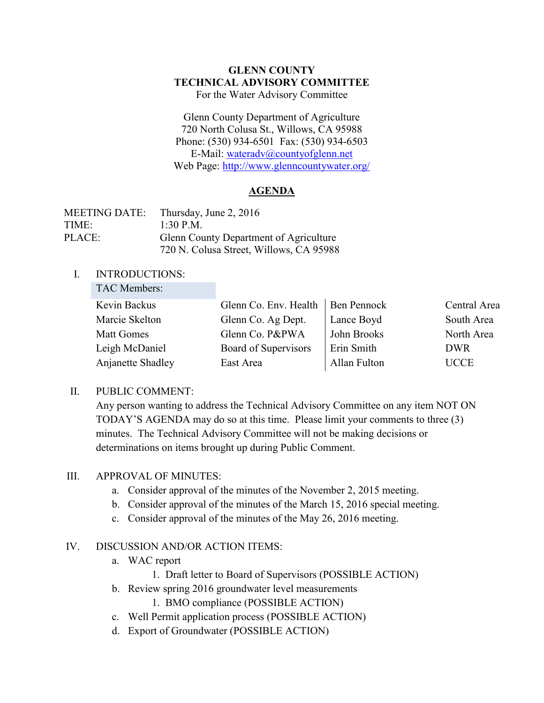#### **GLENN COUNTY TECHNICAL ADVISORY COMMITTEE** For the Water Advisory Committee

Glenn County Department of Agriculture 720 North Colusa St., Willows, CA 95988 Phone: (530) 934-6501 Fax: (530) 934-6503 E-Mail: [wateradv@countyofglenn.net](mailto:wateradv@countyofglenn.net) Web Page:<http://www.glenncountywater.org/>

# **AGENDA**

| <b>MEETING DATE:</b> | Thursday, June 2, 2016                  |  |  |
|----------------------|-----------------------------------------|--|--|
| TIME:                | $1.30$ P M                              |  |  |
| PLACE:               | Glenn County Department of Agriculture  |  |  |
|                      | 720 N. Colusa Street, Willows, CA 95988 |  |  |

#### I. INTRODUCTIONS: TAC Members:

| TAC Members:      |                       |                    |              |
|-------------------|-----------------------|--------------------|--------------|
| Kevin Backus      | Glenn Co. Env. Health | <b>Ben Pennock</b> | Central Area |
| Marcie Skelton    | Glenn Co. Ag Dept.    | Lance Boyd         | South Area   |
| <b>Matt Gomes</b> | Glenn Co. P&PWA       | John Brooks        | North Area   |
| Leigh McDaniel    | Board of Supervisors  | Erin Smith         | <b>DWR</b>   |
| Anjanette Shadley | East Area             | Allan Fulton       | <b>UCCE</b>  |

# II. PUBLIC COMMENT:

Any person wanting to address the Technical Advisory Committee on any item NOT ON TODAY'S AGENDA may do so at this time. Please limit your comments to three (3) minutes. The Technical Advisory Committee will not be making decisions or determinations on items brought up during Public Comment.

# **III. APPROVAL OF MINUTES:**

- a. Consider approval of the minutes of the November 2, 2015 meeting.
- b. Consider approval of the minutes of the March 15, 2016 special meeting.
- c. Consider approval of the minutes of the May 26, 2016 meeting.

# IV. DISCUSSION AND/OR ACTION ITEMS:

- a. WAC report
	- 1. Draft letter to Board of Supervisors (POSSIBLE ACTION)
- b. Review spring 2016 groundwater level measurements
	- 1. BMO compliance (POSSIBLE ACTION)
- c. Well Permit application process (POSSIBLE ACTION)
- d. Export of Groundwater (POSSIBLE ACTION)